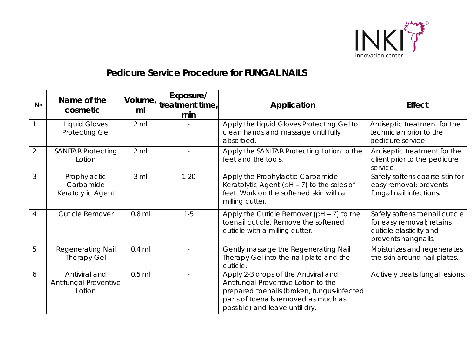

## *Pedicure Service Procedure for* **FUNGAL NAILS**

| N <sub>2</sub> | Name of the<br>cosmetic                          | ml               | Exposure/<br>Volume, $ $ treatment time,<br>min | Application                                                                                                                                                                                         | <b>Effect</b>                                                                                                |
|----------------|--------------------------------------------------|------------------|-------------------------------------------------|-----------------------------------------------------------------------------------------------------------------------------------------------------------------------------------------------------|--------------------------------------------------------------------------------------------------------------|
|                | <b>Liquid Gloves</b><br><b>Protecting Gel</b>    | $2 \, \text{ml}$ |                                                 | Apply the Liquid Gloves Protecting Gel to<br>clean hands and massage until fully<br>absorbed.                                                                                                       | Antiseptic treatment for the<br>technician prior to the<br>pedicure service.                                 |
| $\overline{2}$ | <b>SANITAR Protecting</b><br>Lotion              | $2 \,$ ml        |                                                 | Apply the SANITAR Protecting Lotion to the<br>feet and the tools.                                                                                                                                   | Antiseptic treatment for the<br>client prior to the pedicure<br>service.                                     |
| 3              | Prophylactic<br>Carbamide<br>Keratolytic Agent   | 3 <sub>m</sub>   | $1 - 20$                                        | Apply the Prophylactic Carbamide<br>Keratolytic Agent ( $pH = 7$ ) to the soles of<br>feet. Work on the softened skin with a<br>milling cutter.                                                     | Safely softens coarse skin for<br>easy removal; prevents<br>fungal nail infections.                          |
| 4              | <b>Cuticle Remover</b>                           | $0.8$ ml         | $1 - 5$                                         | Apply the Cuticle Remover $[PH = 7]$ to the<br>toenail cuticle. Remove the softened<br>cuticle with a milling cutter.                                                                               | Safely softens toenail cuticle<br>for easy removal; retains<br>cuticle elasticity and<br>prevents hangnails. |
| 5              | <b>Regenerating Nail</b><br><b>Therapy Gel</b>   | $0.4$ ml         |                                                 | Gently massage the Regenerating Nail<br>Therapy Gel into the nail plate and the<br>cuticle.                                                                                                         | Moisturizes and regenerates<br>the skin around nail plates.                                                  |
| 6              | Antiviral and<br>Antifungal Preventive<br>Lotion | $0.5$ ml         |                                                 | Apply 2-3 drops of the Antiviral and<br>Antifungal Preventive Lotion to the<br>prepared toenails (broken, fungus-infected<br>parts of toenails removed as much as<br>possible) and leave until dry. | Actively treats fungal lesions.                                                                              |